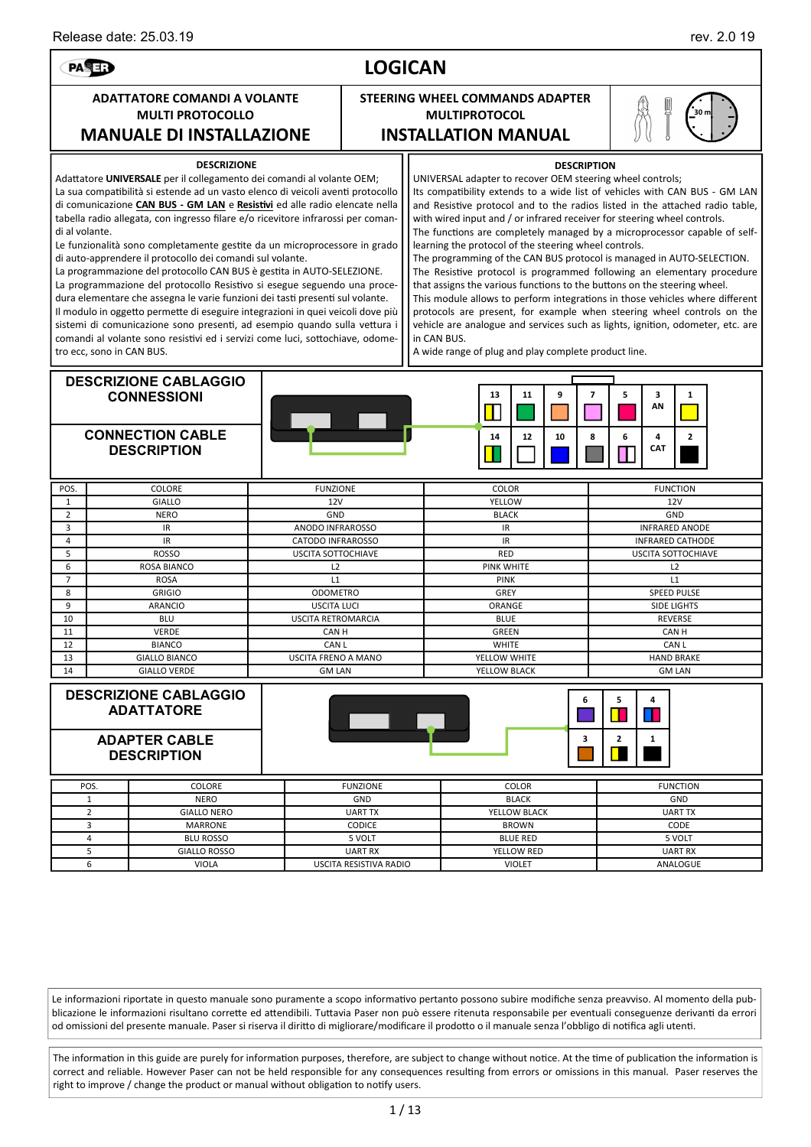

Le informazioni riportate in questo manuale sono puramente a scopo informativo pertanto possono subire modifiche senza preavviso. Al momento della pubblicazione le informazioni risultano corrette ed attendibili. Tuttavia Paser non può essere ritenuta responsabile per eventuali conseguenze derivanti da errori od omissioni del presente manuale. Paser si riserva il diritto di migliorare/modificare il prodotto o il manuale senza l'obbligo di notifica agli utenti.

The information in this guide are purely for information purposes, therefore, are subject to change without notice. At the time of publication the information is correct and reliable. However Paser can not be held responsible for any consequences resulting from errors or omissions in this manual. Paser reserves the right to improve / change the product or manual without obligation to notify users.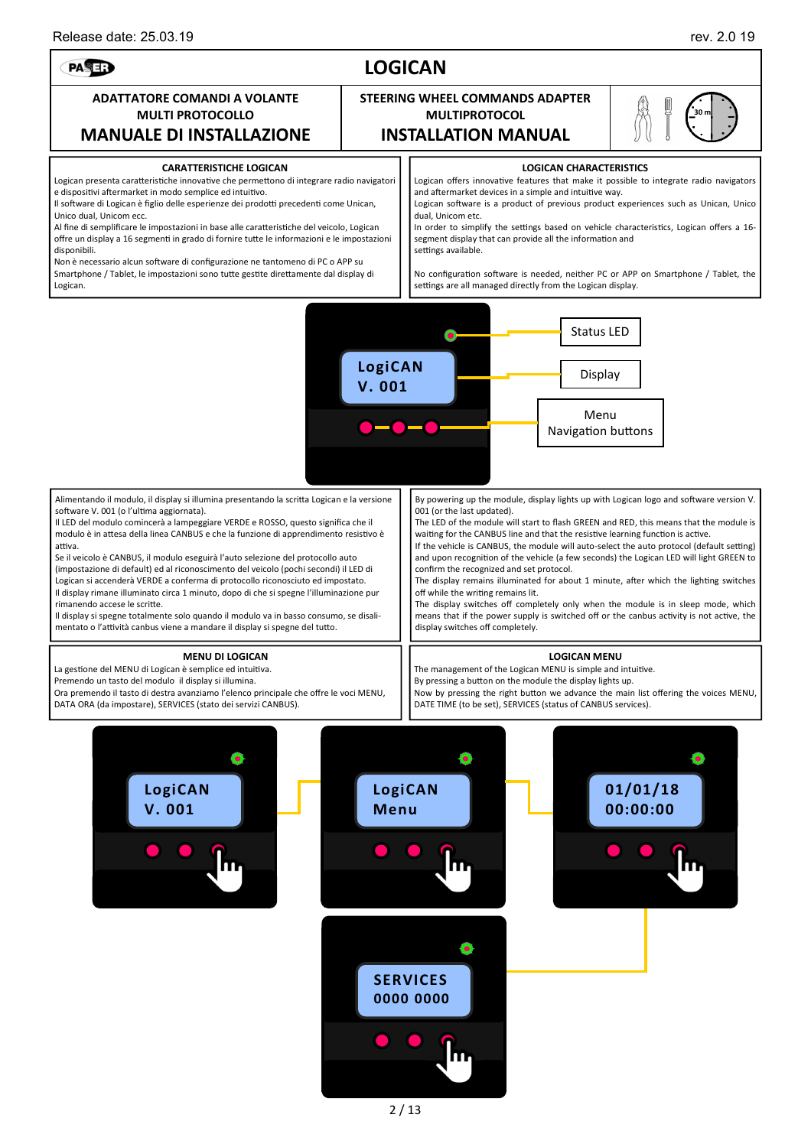PASE:

**30 m** 

## **LOGICAN**

### **ADATTATORE COMANDI A VOLANTE MULTI PROTOCOLLO MANUALE DI INSTALLAZIONE**

## **STEERING WHEEL COMMANDS ADAPTER MULTIPROTOCOL INSTALLATION MANUAL**

| IVIANUALE DI INSTALLAZIONE                                                                 |                                | <b>INSIALLATION IVIANUAL</b>                                                             | $U$ W |  |  |  |
|--------------------------------------------------------------------------------------------|--------------------------------|------------------------------------------------------------------------------------------|-------|--|--|--|
| <b>CARATTERISTICHE LOGICAN</b>                                                             | <b>LOGICAN CHARACTERISTICS</b> |                                                                                          |       |  |  |  |
| Logican presenta caratteristiche innovative che permettono di integrare radio navigatori   |                                | Logican offers innovative features that make it possible to integrate radio navigators   |       |  |  |  |
| e dispositivi aftermarket in modo semplice ed intuitivo.                                   |                                | and aftermarket devices in a simple and intuitive way.                                   |       |  |  |  |
| Il software di Logican è figlio delle esperienze dei prodotti precedenti come Unican,      |                                | Logican software is a product of previous product experiences such as Unican, Unico      |       |  |  |  |
| Unico dual, Unicom ecc.                                                                    |                                | dual, Unicom etc.                                                                        |       |  |  |  |
| Al fine di semplificare le impostazioni in base alle caratteristiche del veicolo, Logican  |                                | In order to simplify the settings based on vehicle characteristics, Logican offers a 16- |       |  |  |  |
| offre un display a 16 segmenti in grado di fornire tutte le informazioni e le impostazioni |                                | segment display that can provide all the information and                                 |       |  |  |  |
| disponibili.                                                                               |                                | settings available.                                                                      |       |  |  |  |
| Non $\lambda$ processes also software di configurazione no tentamene di DC e ADD su        |                                |                                                                                          |       |  |  |  |

Non è necessario alcun software di configurazione ne tantomeno di PC o APP su Smartphone / Tablet, le impostazioni sono tutte gestite direttamente dal display di Logican.

### No configuration software is needed, neither PC or APP on Smartphone / Tablet, the settings are all managed directly from the Logican display.



Alimentando il modulo, il display si illumina presentando la scritta Logican e la versione software V. 001 (o l'ultima aggiornata).

Il LED del modulo comincerà a lampeggiare VERDE e ROSSO, questo significa che il modulo è in attesa della linea CANBUS e che la funzione di apprendimento resistivo è attiva.

Se il veicolo è CANBUS, il modulo eseguirà l'auto selezione del protocollo auto (impostazione di default) ed al riconoscimento del veicolo (pochi secondi) il LED di Logican si accenderà VERDE a conferma di protocollo riconosciuto ed impostato. Il display rimane illuminato circa 1 minuto, dopo di che si spegne l'illuminazione pur rimanendo accese le scritte.

Il display si spegne totalmente solo quando il modulo va in basso consumo, se disalimentato o l'attività canbus viene a mandare il display si spegne del tutto.

### **MENU DI LOGICAN**

La gestione del MENU di Logican è semplice ed intuitiva.

Premendo un tasto del modulo il display si illumina.

Ora premendo il tasto di destra avanziamo l'elenco principale che offre le voci MENU, DATA ORA (da impostare), SERVICES (stato dei servizi CANBUS).

By powering up the module, display lights up with Logican logo and software version V. 001 (or the last updated).

The LED of the module will start to flash GREEN and RED, this means that the module is waiting for the CANBUS line and that the resistive learning function is active.

If the vehicle is CANBUS, the module will auto-select the auto protocol (default setting) and upon recognition of the vehicle (a few seconds) the Logican LED will light GREEN to confirm the recognized and set protocol.

The display remains illuminated for about 1 minute, after which the lighting switches off while the writing remains lit.

The display switches off completely only when the module is in sleep mode, which means that if the power supply is switched off or the canbus activity is not active, the display switches off completely.

### **LOGICAN MENU**

The management of the Logican MENU is simple and intuitive.

By pressing a button on the module the display lights up.

Now by pressing the right button we advance the main list offering the voices MENU, DATE TIME (to be set), SERVICES (status of CANBUS services).

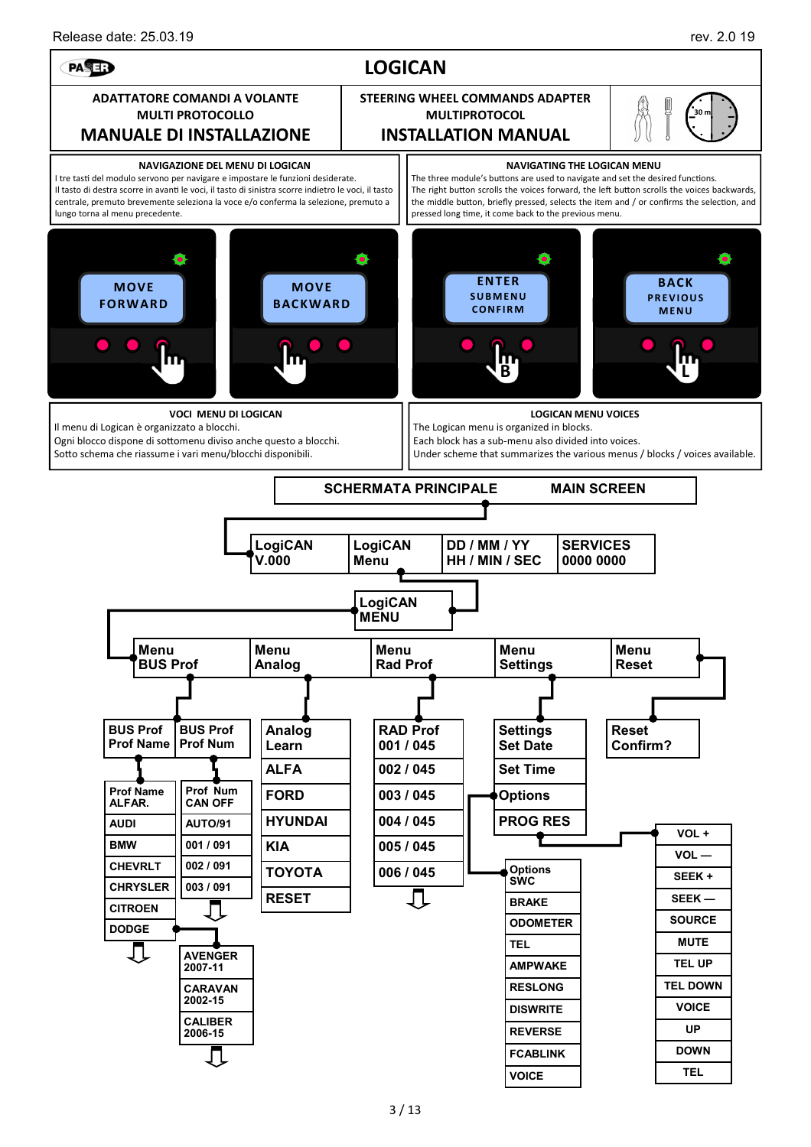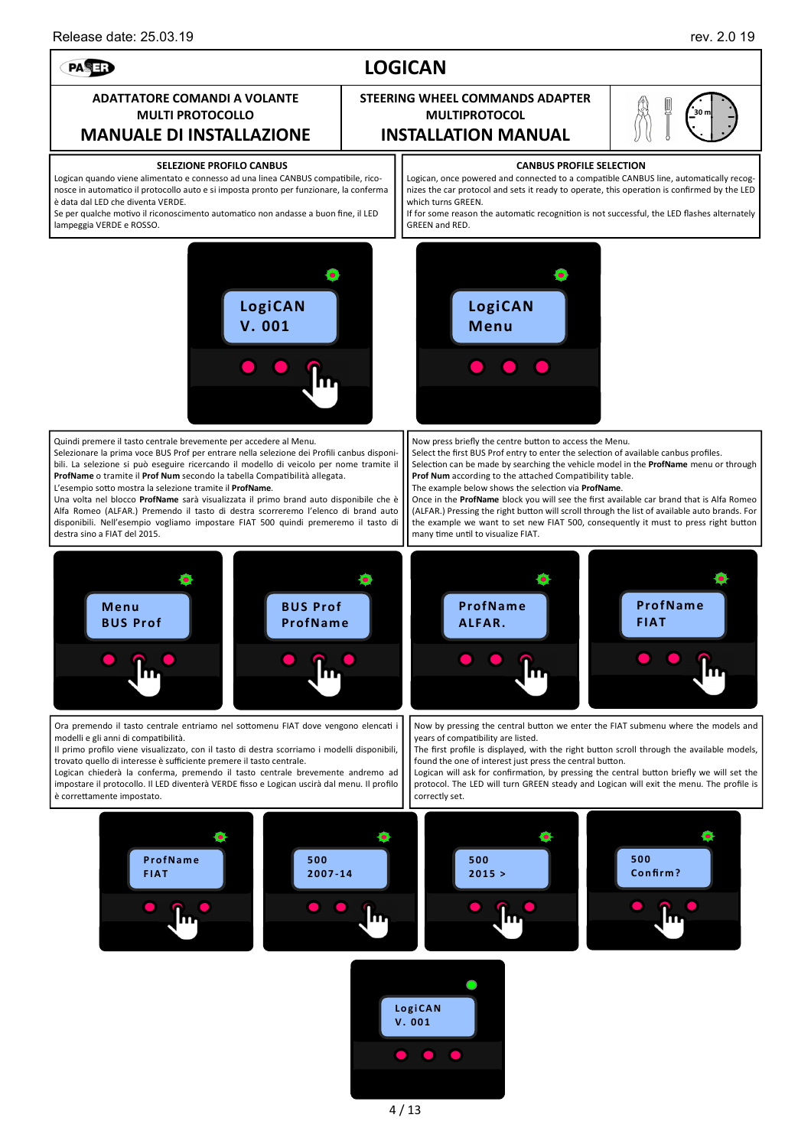## PASE?

### **ADATTATORE COMANDI A VOLANTE MULTI PROTOCOLLO MANUALE DI INSTALLAZIONE**

### **SELEZIONE PROFILO CANBUS**

Logican quando viene alimentato e connesso ad una linea CANBUS compatibile, riconosce in automatico il protocollo auto e si imposta pronto per funzionare, la conferma è data dal LED che diventa VERDE.

Se per qualche motivo il riconoscimento automatico non andasse a buon fine, il LED lampeggia VERDE e ROSSO.



Quindi premere il tasto centrale brevemente per accedere al Menu.

Selezionare la prima voce BUS Prof per entrare nella selezione dei Profili canbus disponibili. La selezione si può eseguire ricercando il modello di veicolo per nome tramite il **ProfName** o tramite il **Prof Num** secondo la tabella Compatibilità allegata. L'esempio sotto mostra la selezione tramite il ProfName.

Una volta nel blocco **ProfName** sarà visualizzata il primo brand auto disponibile che è Alfa Romeo (ALFAR.) Premendo il tasto di destra scorreremo l'elenco di brand auto disponibili. Nell'esempio vogliamo impostare FIAT 500 quindi premeremo il tasto di destra sino a FIAT del 2015.

# **STEERING WHEEL COMMANDS ADAPTER**

**MULTIPROTOCOL INSTALLATION MANUAL**



### **CANBUS PROFILE SELECTION**

Logican, once powered and connected to a compatible CANBUS line, automatically recognizes the car protocol and sets it ready to operate, this operation is confirmed by the LED which turns GREEN.

If for some reason the automatic recognition is not successful, the LED flashes alternately GREEN and RED.



Now press briefly the centre button to access the Menu.

Select the first BUS Prof entry to enter the selection of available canbus profiles. Selection can be made by searching the vehicle model in the ProfName menu or through **Prof Num** according to the attached Compatibility table.

The example below shows the selection via ProfName.

₩

**ProfNam e ALFAR.** 

Once in the **ProfName** block you will see the first available car brand that is Alfa Romeo (ALFAR.) Pressing the right button will scroll through the list of available auto brands. For the example we want to set new FIAT 500, consequently it must to press right button many time until to visualize FIAT.

> **ProfNam e FIAT**

Ó



Ora premendo il tasto centrale entriamo nel sottomenu FIAT dove vengono elencati i modelli e gli anni di compatibilità.

Il primo profilo viene visualizzato, con il tasto di destra scorriamo i modelli disponibili, trovato quello di interesse è sufficiente premere il tasto centrale.

Logican chiederà la conferma, premendo il tasto centrale brevemente andremo ad impostare il protocollo. Il LED diventerà VERDE fisso e Logican uscirà dal menu. Il profilo è correttamente impostato.

Now by pressing the central button we enter the FIAT submenu where the models and years of compatibility are listed.

The first profile is displayed, with the right button scroll through the available models, found the one of interest just press the central button.

Logican will ask for confirmation, by pressing the central button briefly we will set the protocol. The LED will turn GREEN steady and Logican will exit the menu. The profile is correctly set.



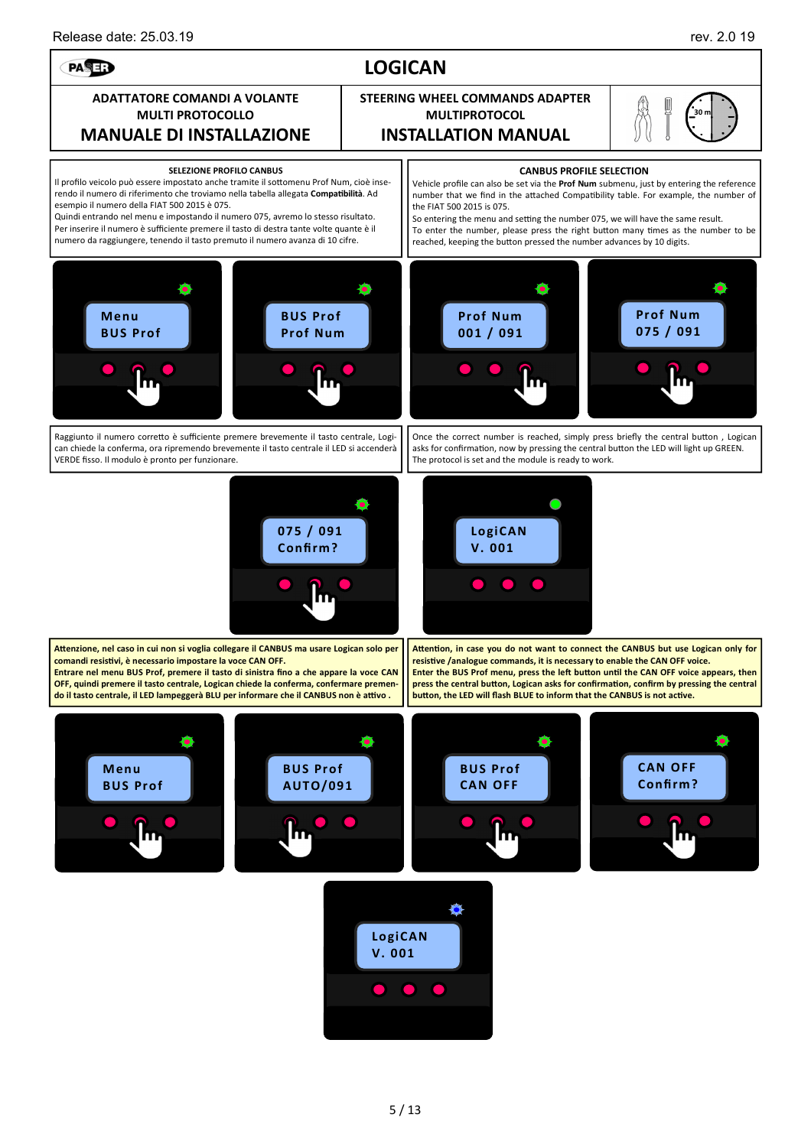

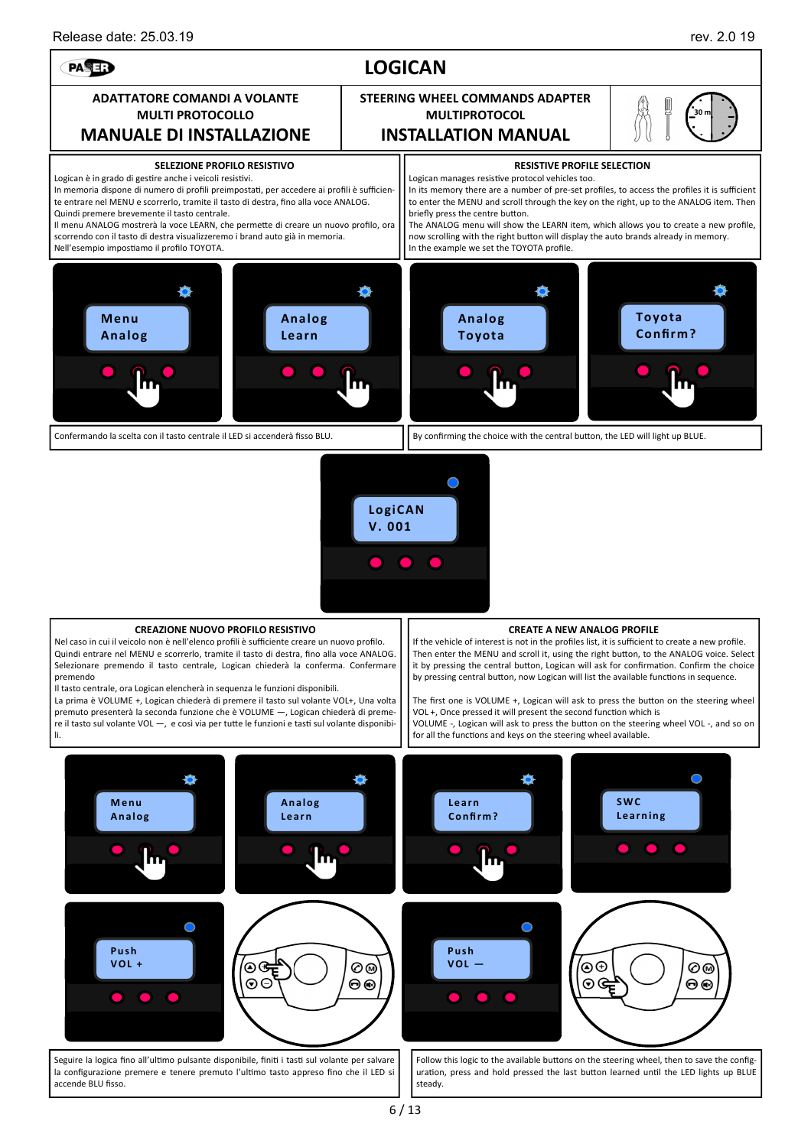

La prima è VOLUME +, Logican chiederà di premere il tasto sul volante VOL+, Una volta premuto presenterà la seconda funzione che è VOLUME —, Logican chiederà di premere il tasto sul volante VOL -, e così via per tutte le funzioni e tasti sul volante disponibili.

The first one is VOLUME +, Logican will ask to press the button on the steering wheel VOL +, Once pressed it will present the second function which is VOLUME -, Logican will ask to press the button on the steering wheel VOL -, and so on for all the functions and keys on the steering wheel available.



la configurazione premere e tenere premuto l'ultimo tasto appreso fino che il LED si accende BLU fisso.

uration, press and hold pressed the last button learned until the LED lights up BLUE steady.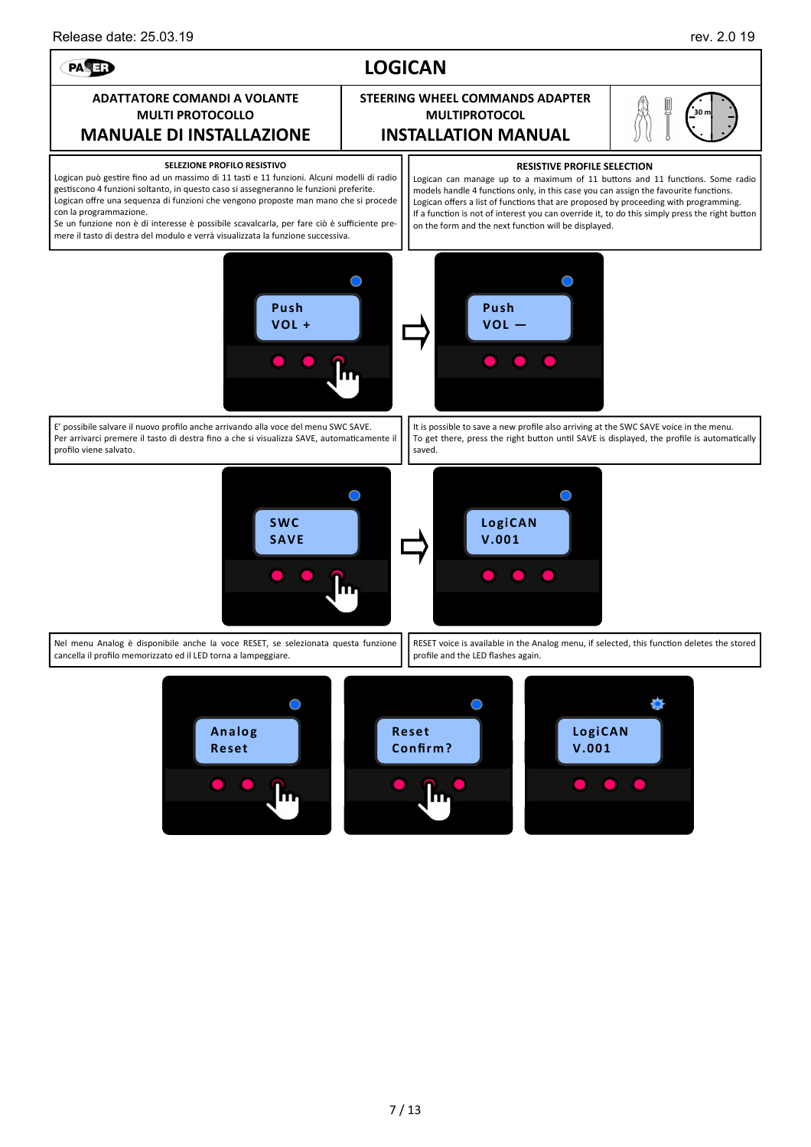### **LOGICAN**  PASE? **ADATTATORE COMANDI A VOLANTE STEERING WHEEL COMMANDS ADAPTER MULTI PROTOCOLLO MULTIPROTOCOL 30 m MANUALE DI INSTALLAZIONE INSTALLATION MANUAL SELEZIONE PROFILO RESISTIVO RESISTIVE PROFILE SELECTION**  Logican può gestire fino ad un massimo di 11 tasti e 11 funzioni. Alcuni modelli di radio Logican can manage up to a maximum of 11 buttons and 11 functions. Some radio gestiscono 4 funzioni soltanto, in questo caso si assegneranno le funzioni preferite. models handle 4 functions only, in this case you can assign the favourite functions. Logican offre una sequenza di funzioni che vengono proposte man mano che si procede Logican offers a list of functions that are proposed by proceeding with programming. con la programmazione. If a function is not of interest you can override it, to do this simply press the right button Se un funzione non è di interesse è possibile scavalcarla, per fare ciò è sufficiente preon the form and the next function will be displayed. mere il tasto di destra del modulo e verrà visualizzata la funzione successiva.  $\bigcap$  $\bigcap$ **Push Push VOL + VOL —**  E' possibile salvare il nuovo profilo anche arrivando alla voce del menu SWC SAVE. It is possible to save a new profile also arriving at the SWC SAVE voice in the menu. Per arrivarci premere il tasto di destra fino a che si visualizza SAVE, automaticamente il To get there, press the right button until SAVE is displayed, the profile is automatically profilo viene salvato. saved.  $\bigcap$  $\bigcap$ **SWC LogiCAN SAVE V.001**  O, Nel menu Analog è disponibile anche la voce RESET, se selezionata questa funzione RESET voice is available in the Analog menu, if selected, this function deletes the stored cancella il profilo memorizzato ed il LED torna a lampeggiare. profile and the LED flashes again. 羨  $\bigcirc$ **LogiCAN Analog Reset Reset Confirm ? V.001**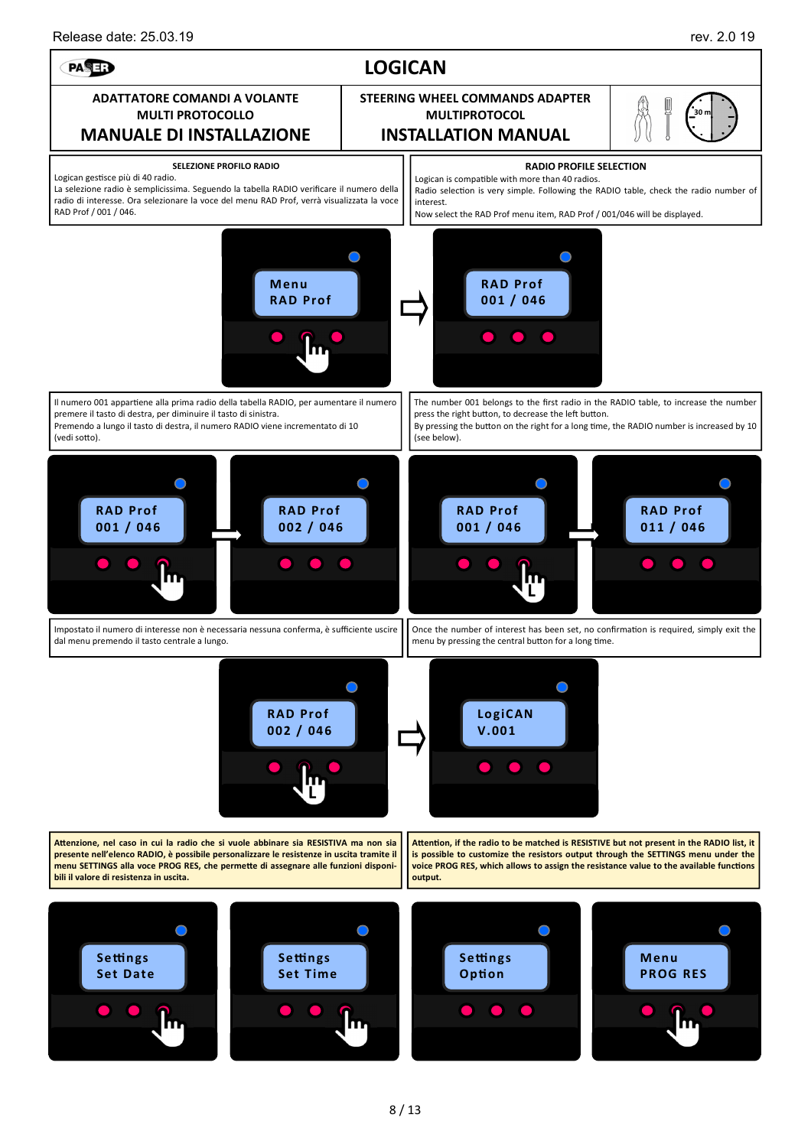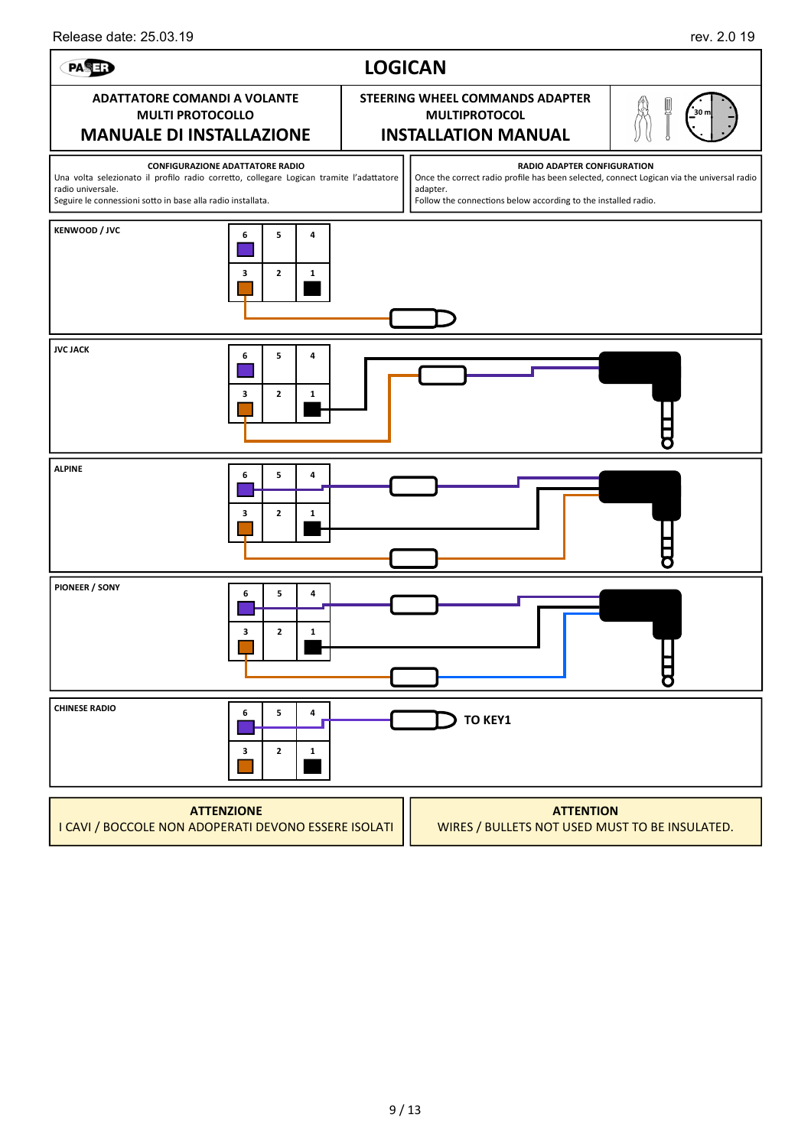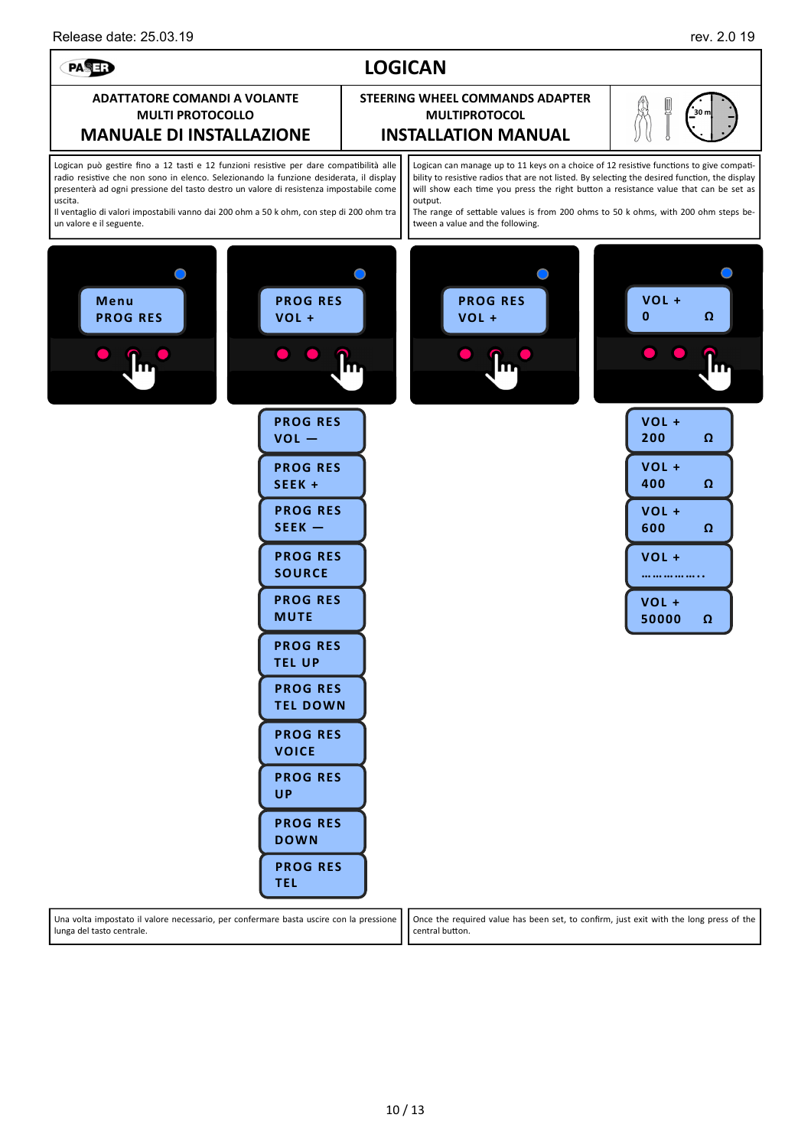lunga del tasto centrale.

### **LOGICAN**  PASE? **ADATTATORE COMANDI A VOLANTE STEERING WHEEL COMMANDS ADAPTER MULTI PROTOCOLLO MULTIPROTOCOL 30 m MANUALE DI INSTALLAZIONE INSTALLATION MANUAL** Logican può gestire fino a 12 tasti e 12 funzioni resistive per dare compatibilità alle Logican can manage up to 11 keys on a choice of 12 resistive functions to give compatiradio resistive che non sono in elenco. Selezionando la funzione desiderata, il displav bility to resistive radios that are not listed. By selecting the desired function, the display presenterà ad ogni pressione del tasto destro un valore di resistenza impostabile come will show each time you press the right button a resistance value that can be set as uscita. output. Il ventaglio di valori impostabili vanno dai 200 ohm a 50 k ohm, con step di 200 ohm tra The range of settable values is from 200 ohms to 50 k ohms, with 200 ohm steps beun valore e il seguente. tween a value and the following.  $\bigcirc$  $\cap$ O  $\subset$ **PROG RES VOL + Menu PROG RES PROG RES VOL + VOL + 0 Ω VOL + PROG RES 200 Ω VOL — PROG RES VOL + 400 Ω SEEK + PROG RES VOL + SEEK — 600 Ω PROG RES VOL + SOURCE …………….. PROG RES VOL + MUTE 50000 Ω PROG RES TEL UP PROG RES TEL DOWN PROG RES VOICE PROG RES UP PROG RES DOWN PROG RES TEL**  Una volta impostato il valore necessario, per confermare basta uscire con la pressione Once the required value has been set, to confirm, just exit with the long press of the

central button.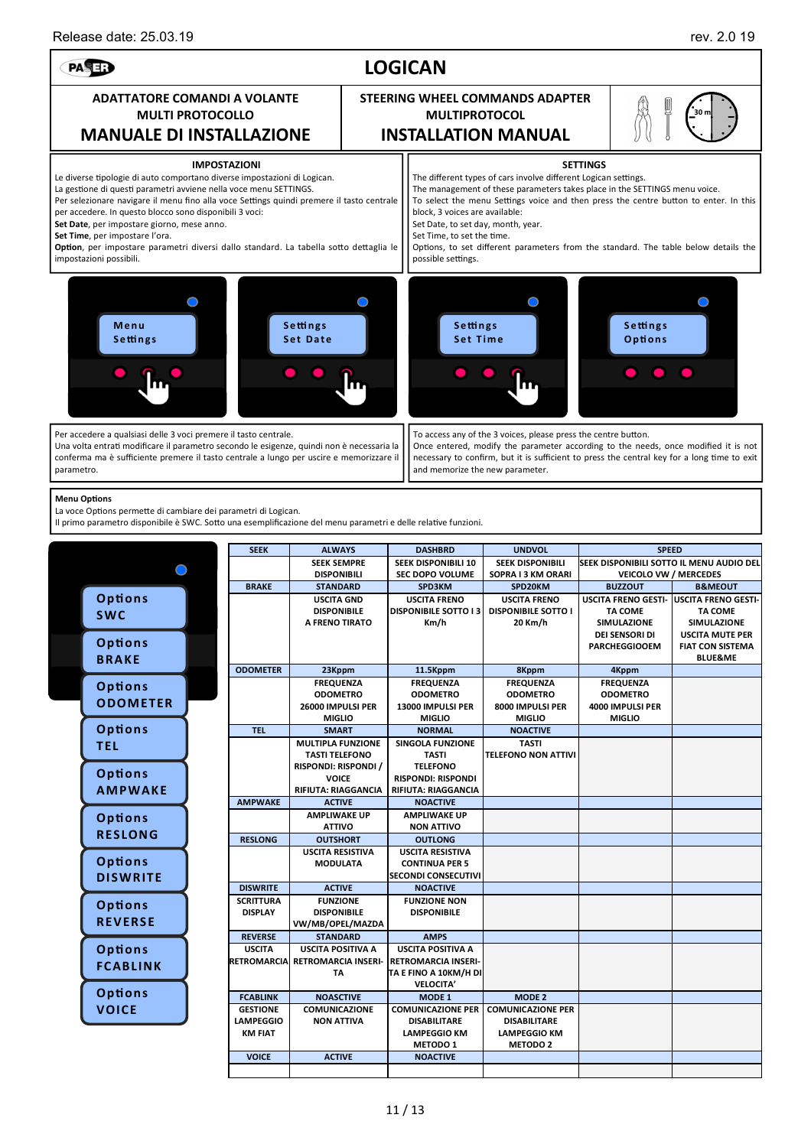### Release date: 25.03.19 **rev. 2.0 19** rev. 2.0 19 **LOGICAN**  PASE? **ADATTATORE COMANDI A VOLANTE STEERING WHEEL COMMANDS ADAPTER MULTI PROTOCOLLO MULTIPROTOCOL 30 m MANUALE DI INSTALLAZIONE INSTALLATION MANUAL IMPOSTAZIONI SETTINGS**  Le diverse tipologie di auto comportano diverse impostazioni di Logican. The different types of cars involve different Logican settings. The management of these parameters takes place in the SETTINGS menu voice. La gestione di questi parametri avviene nella voce menu SETTINGS. Per selezionare navigare il menu fino alla voce Settings quindi premere il tasto centrale To select the menu Settings voice and then press the centre button to enter. In this per accedere. In questo blocco sono disponibili 3 voci: block, 3 voices are available: **Set Date**, per impostare giorno, mese anno. Set Date, to set day, month, year. **Set Time**, per impostare l'ora. Set Time, to set the time. Option, per impostare parametri diversi dallo standard. La tabella sotto dettaglia le Options, to set different parameters from the standard. The table below details the impostazioni possibili. possible settings  $\bigcirc$  $\bigcap$  $\bigcap$  $\bigcap$ **M e n u S e H n g s S e H n g s S e H n g s S e H n g s Set Date Set Time O p o n s**  Per accedere a qualsiasi delle 3 voci premere il tasto centrale. To access any of the 3 voices, please press the centre button. Una volta entrati modificare il parametro secondo le esigenze, quindi non è necessaria la Once entered, modify the parameter according to the needs, once modified it is not conferma ma è sufficiente premere il tasto centrale a lungo per uscire e memorizzare il necessary to confirm, but it is sufficient to press the central key for a long time to exit parametro. and memorize the new parameter. **Menu Options** La voce Options permette di cambiare dei parametri di Logican. Il primo parametro disponibile è SWC. Sotto una esemplificazione del menu parametri e delle relative funzioni. **SEEK | ALWAYS | DASHBRD | UNDVOL SPEED SEEK SEMPRE SEEK DISPONIBILI 10 SEEK DISPONIBILI SEEK DISPONIBILI SOTTO IL MENU AUDIO DEL**   $\bigcirc$ **DISPONIBILI SEC DOPO VOLUME SOPRA I 3 KM ORARI VEICOLO VW / MERCEDES**  BRAKE | STANDARD | SPD3KM | SPD20KM | BUZZOUT | B&MEOUT **Options USCITA GND USCITA FRENO USCITA FRENO USCITA FRENO GESTI-USCITA FRENO GESTI-DISPONIBILE SOTTO I 3 TA COME TA COME DISPONIBILE DISPONIBILE SOTTO I SWC A FRENO TIRATO Km/h 20 Km/h SIMULAZIONE SIMULAZIONE DEI SENSORI DI USCITA MUTE PER Options PARCHEGGIOOEM FIAT CON SISTEMA BLUE&ME BRAKE ODOMETER** 23Kppm 11.5Kppm 8Kppm 4Kppm  **FREQUENZA FREQUENZA FREQUENZA FREQUENZA Options ODOMETRO ODOMETRO ODOMETRO ODOMETRO ODOM ETER 26000 IMPULSI PER 13000 IMPULSI PER 8000 IMPULSI PER 4000 IMPULSI PER MIGLIO MIGLIO MIGLIO MIGLIO Options** TEL | SMART | NORMAL | NOACTIVE  **MULTIPLA FUNZIONE SINGOLA FUNZIONE TEL TASTI TELEFONO NON ATTIVI TASTI TELEFONO TASTI RISPONDI: RISPONDI / TELEFONO Opon s RISPONDI: RISPONDI VOICE AM PWAKE RIFIUTA: RIAGGANCIA RIFIUTA: RIAGGANCIA AMPWAKE ACTIVE NOACTIVE AMPLIWAKE UP AMPLIWAKE UP Options ATTIVO NON ATTIVO RESLONG RESLONG OUTSHORT OUTLONG USCITA RESISTIVA USCITA RESISTIVA Options MODULATA CONTINUA PER 5 SECONDI CONSECUTIVI DISWRITE DISWRITE ACTIVE NOACTIVE SCRITTURA FUNZIONE FUNZIONE NON Options DISPLAY DISPONIBILE DISPONIBILE REVERSE VW/MB/OPEL/MAZDA REVERSE STANDARD AMPS Options USCITA POSITIVA A USCITA POSITIVA A USCITA RETROMARCI RETROMARCIA INSERI-RETROMARCIA INSERI-FCABLINK TA TA E FINO A 10KM/H DI VELOCITA' Options FCABLINK NOASCTIVE MODE 1 MODE 2 VOICE GESTIONE COMUNICAZIONE COMUNICAZIONE PER COMUNICAZIONE PER LAMPEGGIO NON ATTIVA DISABILITARE DISABILITARE KM FIAT LAMPEGGIO KM LAMPEGGIO KM METODO 2 METODO 1 VOICE ACTIVE NOACTIVE**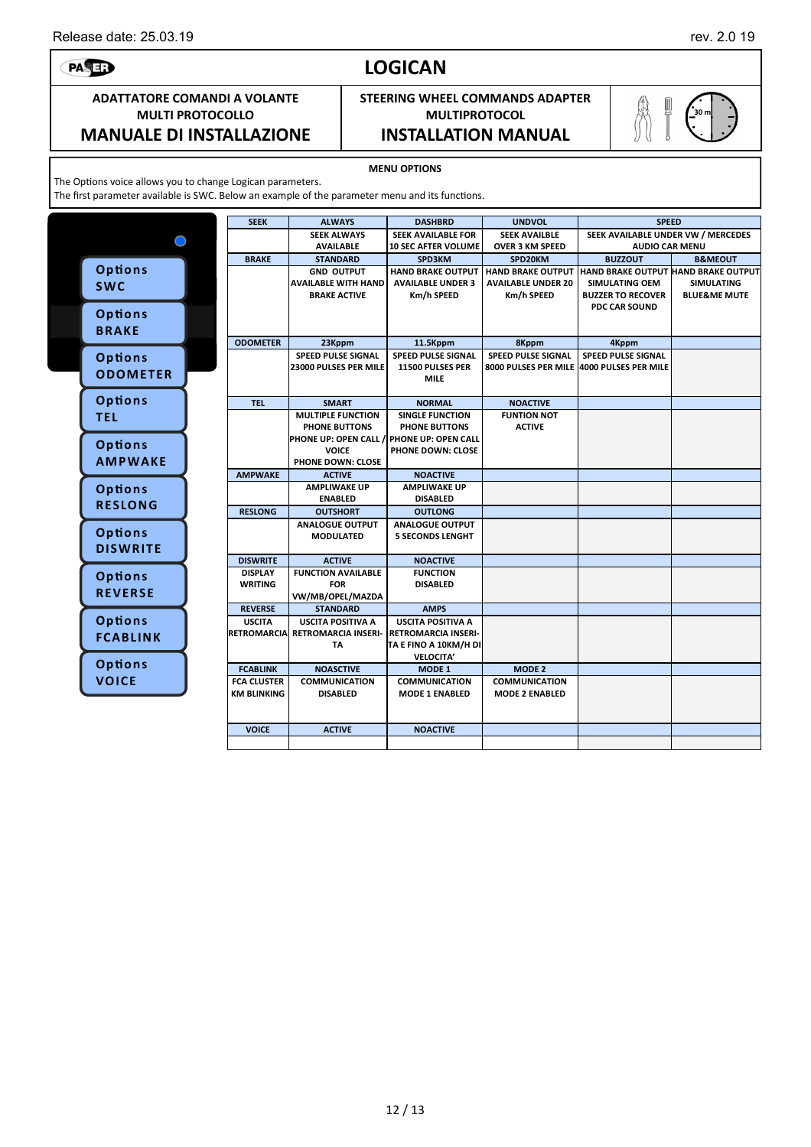# **LOGICAN**

## **STEERING WHEEL COMMANDS ADAPTER MULTIPROTOCOL**

**MANUALE DI INSTALLAZIONE INSTALLATION MANUAL**

**MENU OPTIONS** 

The Options voice allows you to change Logican parameters.

The first parameter available is SWC. Below an example of the parameter menu and its functions.

|  |                 | <b>SEEK</b>        | <b>ALWAYS</b>                                               | <b>DASHBRD</b>                                         | <b>UNDVOL</b>             | <b>SPEED</b>                               |                         |
|--|-----------------|--------------------|-------------------------------------------------------------|--------------------------------------------------------|---------------------------|--------------------------------------------|-------------------------|
|  |                 |                    | <b>SEEK ALWAYS</b>                                          | SEEK AVAILABLE FOR                                     | <b>SEEK AVAILBLE</b>      | SEEK AVAILABLE UNDER VW / MERCEDES         |                         |
|  |                 |                    | <b>AVAILABLE</b>                                            | <b>10 SEC AFTER VOLUME</b>                             | <b>OVER 3 KM SPEED</b>    | <b>AUDIO CAR MENU</b>                      |                         |
|  |                 | <b>BRAKE</b>       | <b>STANDARD</b>                                             | SPD3KM                                                 | SPD20KM                   | <b>BUZZOUT</b>                             | <b>B&amp;MEOUT</b>      |
|  | <b>Options</b>  |                    | <b>GND OUTPUT</b>                                           | <b>HAND BRAKE OUTPUT</b>                               | <b>HAND BRAKE OUTPUT</b>  | <b>HAND BRAKE OUTPUT HAND BRAKE OUTPUT</b> |                         |
|  | <b>SWC</b>      |                    | <b>AVAILABLE WITH HAND</b>                                  | <b>AVAILABLE UNDER 3</b>                               | <b>AVAILABLE UNDER 20</b> | <b>SIMULATING OEM</b>                      | <b>SIMULATING</b>       |
|  |                 |                    | <b>BRAKE ACTIVE</b>                                         | Km/h SPEED                                             | Km/h SPEED                | <b>BUZZER TO RECOVER</b>                   | <b>BLUE&amp;ME MUTE</b> |
|  |                 |                    |                                                             |                                                        |                           | <b>PDC CAR SOUND</b>                       |                         |
|  | Options         |                    |                                                             |                                                        |                           |                                            |                         |
|  | <b>BRAKE</b>    |                    |                                                             |                                                        |                           |                                            |                         |
|  |                 | <b>ODOMETER</b>    | 23Kppm                                                      | 11.5Kppm                                               | 8Kppm                     | 4Kppm                                      |                         |
|  | Options         |                    | SPEED PULSE SIGNAL                                          | SPEED PULSE SIGNAL                                     | SPEED PULSE SIGNAL        | SPEED PULSE SIGNAL                         |                         |
|  | <b>ODOMETER</b> |                    | <b>23000 PULSES PER MILE</b>                                | 11500 PULSES PER                                       |                           | 8000 PULSES PER MILE 4000 PULSES PER MILE  |                         |
|  |                 |                    |                                                             | <b>MILE</b>                                            |                           |                                            |                         |
|  | Options         | <b>TEL</b>         | <b>SMART</b>                                                | <b>NORMAL</b>                                          | <b>NOACTIVE</b>           |                                            |                         |
|  | <b>TEL</b>      |                    | <b>MULTIPLE FUNCTION</b>                                    | <b>SINGLE FUNCTION</b>                                 | <b>FUNTION NOT</b>        |                                            |                         |
|  |                 |                    | PHONE BUTTONS                                               | <b>PHONE BUTTONS</b>                                   | <b>ACTIVE</b>             |                                            |                         |
|  |                 |                    | PHONE UP: OPEN CALL / PHONE UP: OPEN CALL                   |                                                        |                           |                                            |                         |
|  | Options         |                    | <b>VOICE</b>                                                | PHONE DOWN: CLOSE                                      |                           |                                            |                         |
|  | <b>AMPWAKE</b>  |                    | PHONE DOWN: CLOSE                                           |                                                        |                           |                                            |                         |
|  |                 | <b>AMPWAKE</b>     | <b>ACTIVE</b>                                               | <b>NOACTIVE</b>                                        |                           |                                            |                         |
|  | Options         |                    | <b>AMPLIWAKE UP</b>                                         | <b>AMPLIWAKE UP</b>                                    |                           |                                            |                         |
|  | <b>RESLONG</b>  |                    | <b>ENABLED</b>                                              | <b>DISABLED</b>                                        |                           |                                            |                         |
|  |                 | <b>RESLONG</b>     | <b>OUTSHORT</b>                                             | <b>OUTLONG</b>                                         |                           |                                            |                         |
|  |                 |                    | <b>ANALOGUE OUTPUT</b>                                      | <b>ANALOGUE OUTPUT</b>                                 |                           |                                            |                         |
|  | Options         |                    | MODULATED                                                   | <b>5 SECONDS LENGHT</b>                                |                           |                                            |                         |
|  | <b>DISWRITE</b> |                    |                                                             |                                                        |                           |                                            |                         |
|  |                 | <b>DISWRITE</b>    | <b>ACTIVE</b>                                               | <b>NOACTIVE</b>                                        |                           |                                            |                         |
|  | Options         | <b>DISPLAY</b>     | <b>FUNCTION AVAILABLE</b>                                   | <b>FUNCTION</b>                                        |                           |                                            |                         |
|  | <b>REVERSE</b>  | <b>WRITING</b>     | <b>FOR</b>                                                  | <b>DISABLED</b>                                        |                           |                                            |                         |
|  |                 |                    | VW/MB/OPEL/MAZDA                                            |                                                        |                           |                                            |                         |
|  |                 | <b>REVERSE</b>     | <b>STANDARD</b>                                             | <b>AMPS</b>                                            |                           |                                            |                         |
|  | Options         | <b>USCITA</b>      | <b>USCITA POSITIVA A</b><br>RETROMARCIA RETROMARCIA INSERI- | <b>USCITA POSITIVA A</b><br><b>RETROMARCIA INSERI-</b> |                           |                                            |                         |
|  | <b>FCABLINK</b> |                    | TA                                                          | TA E FINO A 10KM/H DI                                  |                           |                                            |                         |
|  |                 |                    |                                                             | <b>VELOCITA'</b>                                       |                           |                                            |                         |
|  | Options         | <b>FCABLINK</b>    | <b>NOASCTIVE</b>                                            | MODE 1                                                 | <b>MODE 2</b>             |                                            |                         |
|  | <b>VOICE</b>    | <b>FCA CLUSTER</b> | <b>COMMUNICATION</b>                                        | <b>COMMUNICATION</b>                                   | <b>COMMUNICATION</b>      |                                            |                         |
|  |                 | KM BLINKING        | <b>DISABLED</b>                                             | <b>MODE 1 ENABLED</b>                                  | <b>MODE 2 ENABLED</b>     |                                            |                         |
|  |                 |                    |                                                             |                                                        |                           |                                            |                         |
|  |                 |                    |                                                             |                                                        |                           |                                            |                         |
|  |                 | <b>VOICE</b>       | <b>ACTIVE</b>                                               | <b>NOACTIVE</b>                                        |                           |                                            |                         |
|  |                 |                    |                                                             |                                                        |                           |                                            |                         |



PASE:

## **ADATTATORE COMANDI A VOLANTE MULTI PROTOCOLLO**